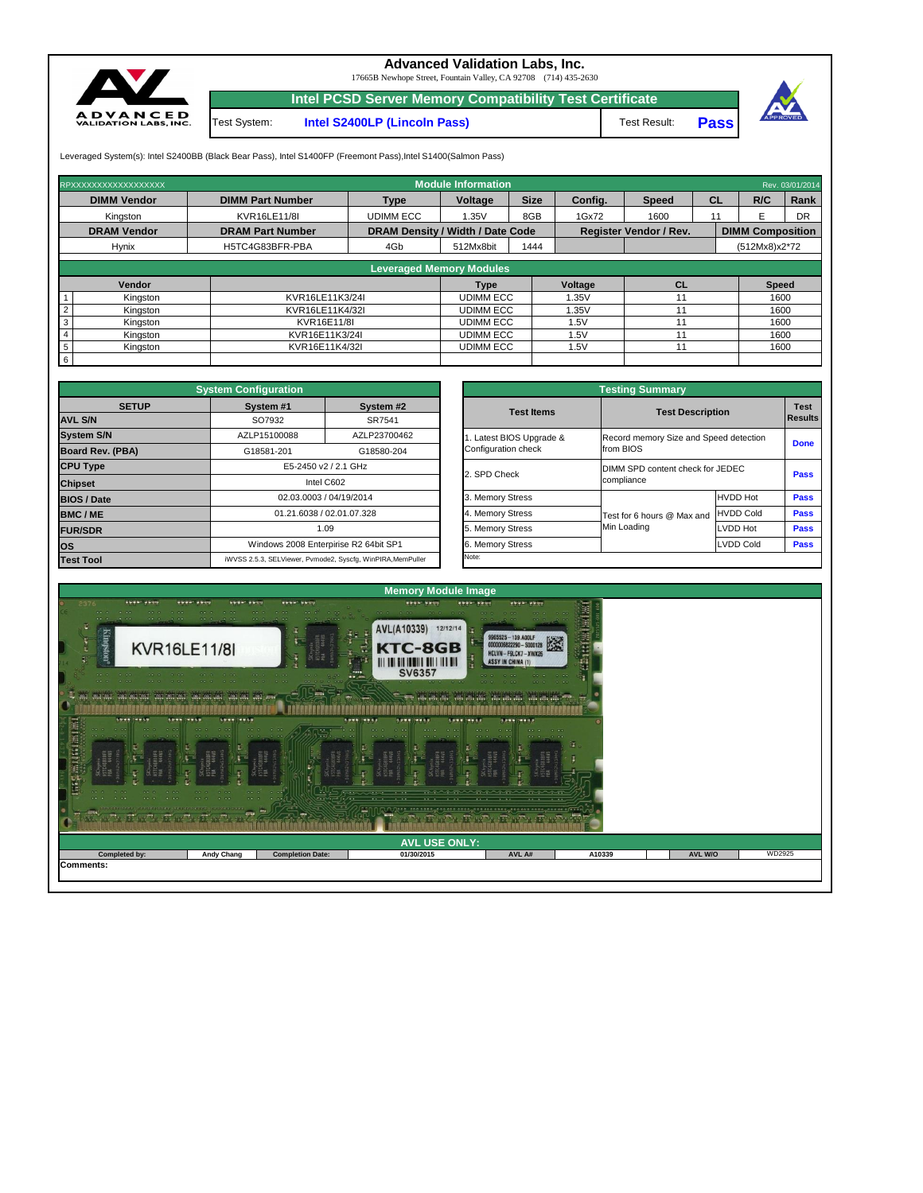| $\begin{array}{cccccccccccccc} \bullet & \bullet & \bullet & \bullet & \bullet & \bullet & \bullet & \bullet \end{array}$<br>$-0.01$ , $-0.01$ , $-0.01$ , $-0.01$ , $-0.01$ , $-0.01$ , $-0.01$ , $-0.01$ , $-0.01$<br>$-0.0$ $-0.0$ $-0.0$ $+0.0$<br>$\mathcal{C} \left( \mathcal{C} \right) \oplus \mathcal{C} \left( \mathcal{C} \right) \oplus \mathcal{C} \left( \mathcal{C} \right) \oplus \mathcal{C} \right) \oplus \mathcal{C} \left( \mathcal{C} \right) \oplus \mathcal{C} \oplus \mathcal{C} \oplus \mathcal{C} \oplus \mathcal{C} \oplus \mathcal{C} \oplus \mathcal{C} \oplus \mathcal{C} \oplus \mathcal{C} \oplus \mathcal{C} \oplus \mathcal{C} \oplus \mathcal{C} \oplus \mathcal{C} \oplus \mathcal{C} \oplus \mathcal{C} \$<br><u> 1980 - 1990 - 1990 - 1990 - 1990 - 1990 - 1990 - 1990 - 1990 - 1990 - 1990 - 1990 - 1990 - 1990 - 1990 - 199</u> | <b>CONTRACTOR</b><br><b>COLOR</b><br>were all retter and retter | - -<br>$1.7.7.777$ (a/ex<br>$-2$ | <b>Branch</b><br><b><i>STARBOOK COMPANY</i></b><br>$\cdots$<br>$\cdots$ | the contract of the contract of the contract of the contract of the contract of the contract of the contract of the contract of the contract of the contract of the contract of the contract of the contract of the contract o |        |         |        |
|--------------------------------------------------------------------------------------------------------------------------------------------------------------------------------------------------------------------------------------------------------------------------------------------------------------------------------------------------------------------------------------------------------------------------------------------------------------------------------------------------------------------------------------------------------------------------------------------------------------------------------------------------------------------------------------------------------------------------------------------------------------------------------------------------------------------------------------------------------------------------|-----------------------------------------------------------------|----------------------------------|-------------------------------------------------------------------------|--------------------------------------------------------------------------------------------------------------------------------------------------------------------------------------------------------------------------------|--------|---------|--------|
|                                                                                                                                                                                                                                                                                                                                                                                                                                                                                                                                                                                                                                                                                                                                                                                                                                                                          |                                                                 |                                  | <b>AVL USE ONLY:</b>                                                    |                                                                                                                                                                                                                                |        |         |        |
| <b>Completed by:</b>                                                                                                                                                                                                                                                                                                                                                                                                                                                                                                                                                                                                                                                                                                                                                                                                                                                     | <b>Andy Chang</b>                                               | <b>Completion Date:</b>          | 01/30/2015                                                              | AVL A#                                                                                                                                                                                                                         | A10339 | AVL W/O | WD2925 |
| Comments:                                                                                                                                                                                                                                                                                                                                                                                                                                                                                                                                                                                                                                                                                                                                                                                                                                                                |                                                                 |                                  |                                                                         |                                                                                                                                                                                                                                |        |         |        |



|                                                 | <b>Testing Summary</b>                              |                               |             |
|-------------------------------------------------|-----------------------------------------------------|-------------------------------|-------------|
| <b>Test Items</b>                               | <b>Test Description</b>                             | <b>Test</b><br><b>Results</b> |             |
| 1. Latest BIOS Upgrade &<br>Configuration check | Record memory Size and Speed detection<br>from BIOS |                               | <b>Done</b> |
| 2. SPD Check                                    | DIMM SPD content check for JEDEC<br>compliance      |                               | <b>Pass</b> |
| 3. Memory Stress                                |                                                     | <b>HVDD Hot</b>               | <b>Pass</b> |
| 4. Memory Stress                                | Test for 6 hours @ Max and                          | <b>HVDD Cold</b>              | <b>Pass</b> |
| 5. Memory Stress                                | Min Loading                                         | LVDD Hot                      | <b>Pass</b> |
| 6. Memory Stress                                |                                                     | <b>LVDD Cold</b>              | <b>Pass</b> |
| Note:                                           |                                                     |                               |             |

| RPXXXXXXXXXXXXXXXXXX       |                         |                                         | <b>Module Information</b>       |             |         |                               |    |                         | Rev. 03/01/2014 |
|----------------------------|-------------------------|-----------------------------------------|---------------------------------|-------------|---------|-------------------------------|----|-------------------------|-----------------|
| <b>DIMM Vendor</b>         | <b>DIMM Part Number</b> | <b>Type</b>                             | Voltage                         | <b>Size</b> | Config. | <b>Speed</b>                  | CL | R/C                     | Rank            |
| Kingston                   | <b>KVR16LE11/8I</b>     | <b>UDIMM ECC</b>                        | 1.35V                           | 8GB         | 1Gx72   | 1600                          | 11 | F                       | DR              |
| <b>DRAM Vendor</b>         | <b>DRAM Part Number</b> | <b>DRAM Density / Width / Date Code</b> |                                 |             |         | <b>Register Vendor / Rev.</b> |    | <b>DIMM Composition</b> |                 |
| <b>Hynix</b>               | H5TC4G83BFR-PBA         | 4Gb                                     | 512Mx8bit                       | 1444        |         |                               |    | (512Mx8)x2*72           |                 |
|                            |                         |                                         | <b>Leveraged Memory Modules</b> |             |         |                               |    |                         |                 |
|                            |                         |                                         |                                 |             |         |                               |    |                         |                 |
| Vendor                     |                         |                                         | <b>Type</b>                     |             | Voltage | <b>CL</b>                     |    | <b>Speed</b>            |                 |
| Kingston                   | KVR16LE11K3/24I         |                                         | <b>UDIMM ECC</b>                |             | 1.35V   | 11                            |    | 1600                    |                 |
| Kingston                   | KVR16LE11K4/32I         |                                         | <b>UDIMM ECC</b>                |             | 1.35V   |                               |    | 1600                    |                 |
| 3<br>Kingston              | KVR16E11/8I             |                                         | <b>UDIMM ECC</b>                |             | .5V     | 11                            |    | 1600                    |                 |
| Kingston                   | KVR16E11K3/24I          |                                         | <b>UDIMM ECC</b>                |             | .5V     |                               |    | 1600                    |                 |
| 5 <sup>5</sup><br>Kingston | KVR16E11K4/32I          |                                         | <b>UDIMM ECC</b>                |             | .5V     | 11                            |    | 1600                    |                 |
| $6\overline{6}$            |                         |                                         |                                 |             |         |                               |    |                         |                 |

|                         | <b>System Configuration</b> |                                                             |                       | <b>Testing Summary</b>           |                                        |                 |             |  |  |  |  |  |
|-------------------------|-----------------------------|-------------------------------------------------------------|-----------------------|----------------------------------|----------------------------------------|-----------------|-------------|--|--|--|--|--|
| <b>SETUP</b>            | System #1                   | System #2                                                   | <b>Test Items</b>     |                                  | <b>Test Description</b>                |                 |             |  |  |  |  |  |
| <b>AVL S/N</b>          | SO7932<br>SR7541            |                                                             |                       |                                  |                                        |                 |             |  |  |  |  |  |
| <b>System S/N</b>       | AZLP15100088                | AZLP23700462                                                | Latest BIOS Upgrade & |                                  | Record memory Size and Speed detection |                 |             |  |  |  |  |  |
| <b>Board Rev. (PBA)</b> | G18581-201                  | G18580-204                                                  | Configuration check   |                                  | from BIOS                              |                 | <b>Done</b> |  |  |  |  |  |
| <b>CPU Type</b>         | E5-2450 v2 / 2.1 GHz        |                                                             |                       | DIMM SPD content check for JEDEC | <b>Pass</b>                            |                 |             |  |  |  |  |  |
| <b>Chipset</b>          | Intel C602                  |                                                             | 2. SPD Check          |                                  | compliance                             |                 |             |  |  |  |  |  |
| <b>BIOS / Date</b>      |                             | 02.03.0003 / 04/19/2014                                     | 3. Memory Stress      |                                  |                                        | <b>HVDD Hot</b> | <b>Pass</b> |  |  |  |  |  |
| <b>BMC/ME</b>           |                             | 01.21.6038 / 02.01.07.328                                   | 4. Memory Stress      |                                  | Test for 6 hours @ Max and             | HVDD Cold       | <b>Pass</b> |  |  |  |  |  |
| <b>FUR/SDR</b>          |                             | 1.09                                                        | 5. Memory Stress      |                                  | Min Loading                            | <b>LVDD Hot</b> | <b>Pass</b> |  |  |  |  |  |
| los                     |                             | Windows 2008 Enterpirise R2 64bit SP1                       | 6. Memory Stress      | LVDD Cold                        |                                        |                 |             |  |  |  |  |  |
| <b>Test Tool</b>        |                             | iWVSS 2.5.3, SELViewer, Pvmode2, Syscfg, WinPIRA, MemPuller | Note:                 |                                  |                                        |                 |             |  |  |  |  |  |

Test System: **Intel S2400LP (Lincoln Pass)**



## **Advanced Validation Labs, Inc.**

17665B Newhope Street, Fountain Valley, CA 92708 (714) 435-2630

**Pass** Test Result:



Leveraged System(s): Intel S2400BB (Black Bear Pass), Intel S1400FP (Freemont Pass), Intel S1400(Salmon Pass)

**Intel PCSD Server Memory Compatibility Test Certificate**